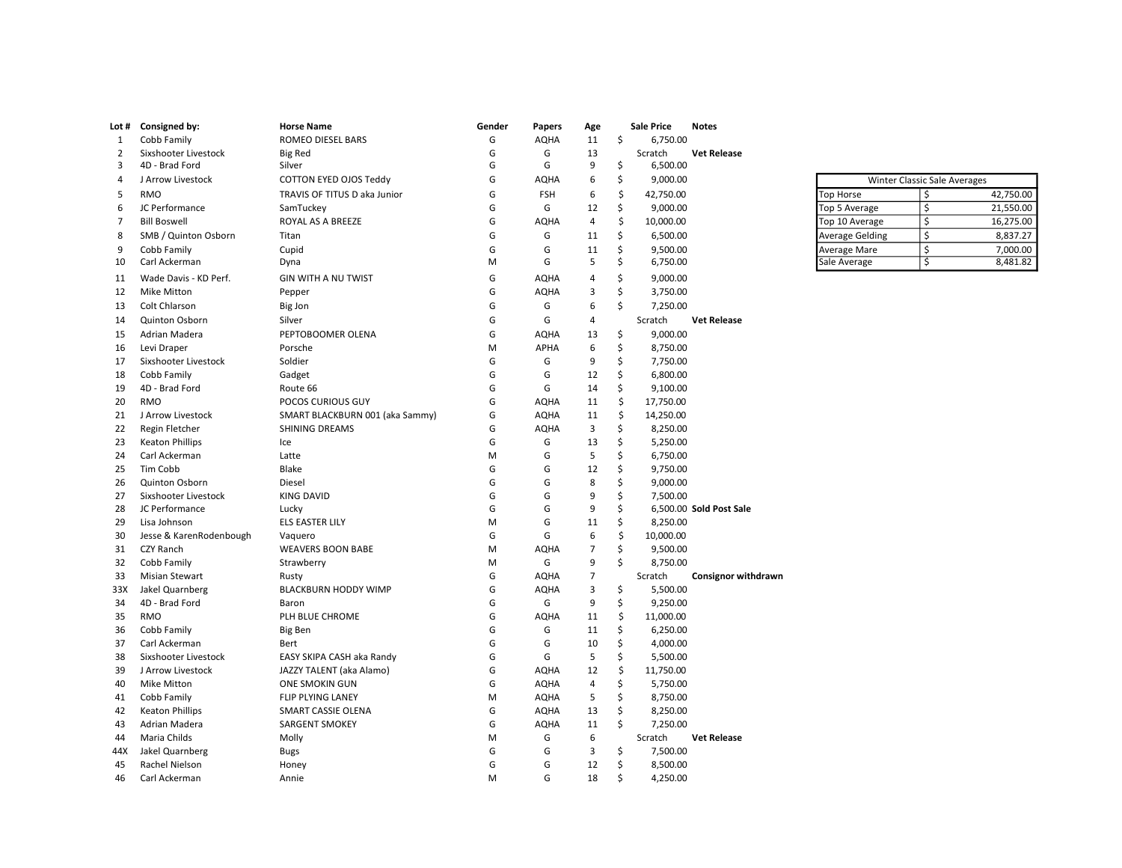| Lot #          | Consigned by:           | <b>Horse Name</b>               | Gender | Papers      | Age                     |    | <b>Sale Price</b> | <b>Notes</b>               |                        |                                     |           |
|----------------|-------------------------|---------------------------------|--------|-------------|-------------------------|----|-------------------|----------------------------|------------------------|-------------------------------------|-----------|
| 1              | Cobb Family             | ROMEO DIESEL BARS               | G      | <b>AQHA</b> | 11                      | \$ | 6,750.00          |                            |                        |                                     |           |
| 2              | Sixshooter Livestock    | <b>Big Red</b>                  | G      | G           | 13                      |    | Scratch           | <b>Vet Release</b>         |                        |                                     |           |
| 3              | 4D - Brad Ford          | Silver                          | G      | G           | 9                       | \$ | 6,500.00          |                            |                        |                                     |           |
| 4              | J Arrow Livestock       | COTTON EYED OJOS Teddy          | G      | <b>AQHA</b> | 6                       | \$ | 9,000.00          |                            |                        | <b>Winter Classic Sale Averages</b> |           |
| 5              | <b>RMO</b>              | TRAVIS OF TITUS D aka Junior    | G      | <b>FSH</b>  | 6                       | Ś  | 42,750.00         |                            | <b>Top Horse</b>       | \$                                  | 42,750.00 |
| 6              | JC Performance          | SamTuckey                       | G      | G           | 12                      | \$ | 9,000.00          |                            | Top 5 Average          | \$                                  | 21,550.00 |
| $\overline{7}$ | <b>Bill Boswell</b>     | ROYAL AS A BREEZE               | G      | <b>AQHA</b> | $\overline{4}$          | \$ | 10,000.00         |                            | Top 10 Average         | \$                                  | 16,275.00 |
| 8              | SMB / Quinton Osborn    | Titan                           | G      | G           | 11                      | \$ | 6,500.00          |                            | <b>Average Gelding</b> | \$                                  | 8,837.27  |
| 9              | Cobb Family             | Cupid                           | G      | G           | 11                      | \$ | 9,500.00          |                            | Average Mare           | \$                                  | 7,000.00  |
| 10             | Carl Ackerman           | Dyna                            | M      | G           | 5                       | \$ | 6,750.00          |                            | Sale Average           | \$                                  | 8,481.82  |
| 11             | Wade Davis - KD Perf.   | <b>GIN WITH A NU TWIST</b>      | G      | <b>AQHA</b> | $\overline{4}$          | Ś  | 9,000.00          |                            |                        |                                     |           |
| 12             | <b>Mike Mitton</b>      | Pepper                          | G      | <b>AQHA</b> | $\mathsf 3$             | Ś  | 3,750.00          |                            |                        |                                     |           |
| 13             | Colt Chlarson           | Big Jon                         | G      | G           | 6                       | Ś  | 7,250.00          |                            |                        |                                     |           |
| 14             | Quinton Osborn          | Silver                          | G      | G           | $\overline{4}$          |    | Scratch           | <b>Vet Release</b>         |                        |                                     |           |
| 15             | Adrian Madera           | PEPTOBOOMER OLENA               | G      | <b>AQHA</b> | 13                      | \$ | 9,000.00          |                            |                        |                                     |           |
| 16             | Levi Draper             | Porsche                         | M      | <b>APHA</b> | 6                       | \$ | 8,750.00          |                            |                        |                                     |           |
| 17             | Sixshooter Livestock    | Soldier                         | G      | G           | 9                       | \$ | 7,750.00          |                            |                        |                                     |           |
| 18             | Cobb Family             | Gadget                          | G      | G           | 12                      | \$ | 6,800.00          |                            |                        |                                     |           |
| 19             | 4D - Brad Ford          | Route 66                        | G      | G           | 14                      | \$ | 9,100.00          |                            |                        |                                     |           |
| 20             | <b>RMO</b>              | POCOS CURIOUS GUY               | G      | <b>AQHA</b> | 11                      | \$ | 17,750.00         |                            |                        |                                     |           |
| 21             | J Arrow Livestock       | SMART BLACKBURN 001 (aka Sammy) | G      | <b>AQHA</b> | 11                      | \$ | 14,250.00         |                            |                        |                                     |           |
| 22             | Regin Fletcher          | SHINING DREAMS                  | G      | <b>AQHA</b> | 3                       | Ś  | 8,250.00          |                            |                        |                                     |           |
| 23             | <b>Keaton Phillips</b>  | Ice                             | G      | G           | 13                      | \$ | 5,250.00          |                            |                        |                                     |           |
| 24             | Carl Ackerman           | Latte                           | M      | G           | 5                       | Ś  | 6,750.00          |                            |                        |                                     |           |
| 25             | Tim Cobb                | Blake                           | G      | G           | 12                      | \$ | 9,750.00          |                            |                        |                                     |           |
| 26             | <b>Quinton Osborn</b>   | Diesel                          | G      | G           | 8                       | Ś  | 9,000.00          |                            |                        |                                     |           |
| 27             | Sixshooter Livestock    | <b>KING DAVID</b>               | G      | G           | 9                       | \$ | 7,500.00          |                            |                        |                                     |           |
| 28             | JC Performance          | Lucky                           | G      | G           | 9                       | Ś  |                   | 6,500.00 Sold Post Sale    |                        |                                     |           |
| 29             | Lisa Johnson            | ELS EASTER LILY                 | м      | G           | 11                      | \$ | 8,250.00          |                            |                        |                                     |           |
| 30             | Jesse & KarenRodenbough | Vaquero                         | G      | G           | 6                       | \$ | 10,000.00         |                            |                        |                                     |           |
| 31             | CZY Ranch               | <b>WEAVERS BOON BABE</b>        | М      | <b>AQHA</b> | $\overline{7}$          | \$ | 9,500.00          |                            |                        |                                     |           |
| 32             | Cobb Family             | Strawberry                      | м      | G           | 9                       | Ŝ. | 8,750.00          |                            |                        |                                     |           |
| 33             | <b>Misian Stewart</b>   | Rusty                           | G      | <b>AQHA</b> | $\overline{7}$          |    | Scratch           | <b>Consignor withdrawn</b> |                        |                                     |           |
| 33X            | Jakel Quarnberg         | <b>BLACKBURN HODDY WIMP</b>     | G      | <b>AQHA</b> | $\overline{\mathbf{3}}$ | \$ | 5,500.00          |                            |                        |                                     |           |
| 34             | 4D - Brad Ford          | Baron                           | G      | G           | 9                       | \$ | 9,250.00          |                            |                        |                                     |           |
| 35             | RMO                     | PLH BLUE CHROME                 | G      | <b>AQHA</b> | 11                      | \$ | 11,000.00         |                            |                        |                                     |           |
| 36             | Cobb Family             | <b>Big Ben</b>                  | G      | G           | 11                      | \$ | 6,250.00          |                            |                        |                                     |           |
| 37             | Carl Ackerman           | Bert                            | G      | G           | 10                      | \$ | 4,000.00          |                            |                        |                                     |           |
| 38             | Sixshooter Livestock    | EASY SKIPA CASH aka Randy       | G      | G           | 5                       | \$ | 5,500.00          |                            |                        |                                     |           |
| 39             | J Arrow Livestock       | JAZZY TALENT (aka Alamo)        | G      | <b>AQHA</b> | 12                      | \$ | 11,750.00         |                            |                        |                                     |           |
| 40             | <b>Mike Mitton</b>      | <b>ONE SMOKIN GUN</b>           | G      | <b>AQHA</b> | $\overline{4}$          | \$ | 5,750.00          |                            |                        |                                     |           |
| 41             | Cobb Family             | FLIP PLYING LANEY               | M      | <b>AQHA</b> | 5                       | \$ | 8,750.00          |                            |                        |                                     |           |
| 42             | <b>Keaton Phillips</b>  | <b>SMART CASSIE OLENA</b>       | G      | <b>AQHA</b> | 13                      | \$ | 8,250.00          |                            |                        |                                     |           |
| 43             | Adrian Madera           | <b>SARGENT SMOKEY</b>           | G      | <b>AQHA</b> | 11                      | \$ | 7,250.00          |                            |                        |                                     |           |
| 44             | Maria Childs            | Molly                           | м      | G           | 6                       |    | Scratch           | <b>Vet Release</b>         |                        |                                     |           |
| 44X            | Jakel Quarnberg         | <b>Bugs</b>                     | G      | G           | 3                       | \$ | 7,500.00          |                            |                        |                                     |           |
| 45             | Rachel Nielson          | Honey                           | G      | G           | 12                      | \$ | 8,500.00          |                            |                        |                                     |           |
| 46             | Carl Ackerman           | Annie                           | M      | G           | 18                      | Ŝ. | 4,250.00          |                            |                        |                                     |           |
|                |                         |                                 |        |             |                         |    |                   |                            |                        |                                     |           |

| <b>Winter Classic Sale Averages</b> |  |           |  |  |  |  |
|-------------------------------------|--|-----------|--|--|--|--|
| <b>Top Horse</b>                    |  | 42,750.00 |  |  |  |  |
| Top 5 Average                       |  | 21,550.00 |  |  |  |  |
| Top 10 Average                      |  | 16,275.00 |  |  |  |  |
| <b>Average Gelding</b>              |  | 8,837.27  |  |  |  |  |
| Average Mare                        |  | 7,000.00  |  |  |  |  |
| Sale Average                        |  | 8,481.82  |  |  |  |  |